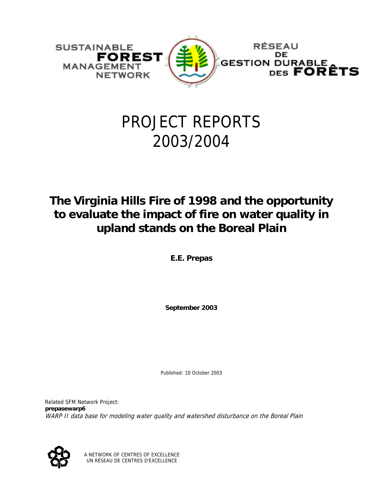

## PROJECT REPORTS 2003/2004

### **The Virginia Hills Fire of 1998 and the opportunity to evaluate the impact of fire on water quality in upland stands on the Boreal Plain**

**E.E. Prepas** 

**September 2003** 

Published: 10 October 2003

Related SFM Network Project: **prepasewarp6** WARP II data base for modeling water quality and watershed disturbance on the Boreal Plain



A NETWORK OF CENTRES OF EXCELLENCE UN RÉSEAU DE CENTRES D'EXCELLENCE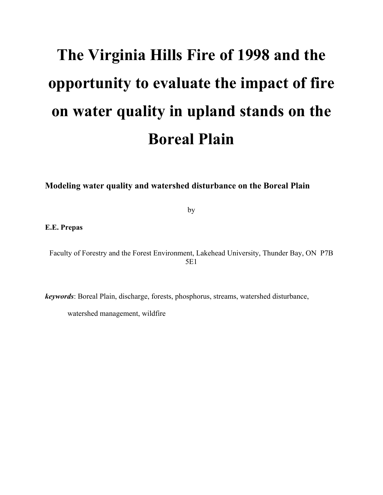# **The Virginia Hills Fire of 1998 and the opportunity to evaluate the impact of fire on water quality in upland stands on the Boreal Plain**

**Modeling water quality and watershed disturbance on the Boreal Plain** 

by

**E.E. Prepas** 

Faculty of Forestry and the Forest Environment, Lakehead University, Thunder Bay, ON P7B 5E1

*keywords*: Boreal Plain, discharge, forests, phosphorus, streams, watershed disturbance,

watershed management, wildfire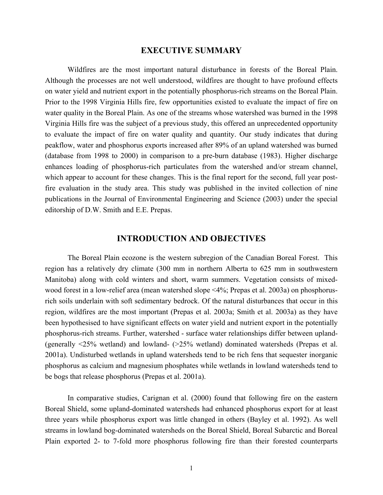#### **EXECUTIVE SUMMARY**

Wildfires are the most important natural disturbance in forests of the Boreal Plain. Although the processes are not well understood, wildfires are thought to have profound effects on water yield and nutrient export in the potentially phosphorus-rich streams on the Boreal Plain. Prior to the 1998 Virginia Hills fire, few opportunities existed to evaluate the impact of fire on water quality in the Boreal Plain. As one of the streams whose watershed was burned in the 1998 Virginia Hills fire was the subject of a previous study, this offered an unprecedented opportunity to evaluate the impact of fire on water quality and quantity. Our study indicates that during peakflow, water and phosphorus exports increased after 89% of an upland watershed was burned (database from 1998 to 2000) in comparison to a pre-burn database (1983). Higher discharge enhances loading of phosphorus-rich particulates from the watershed and/or stream channel, which appear to account for these changes. This is the final report for the second, full year postfire evaluation in the study area. This study was published in the invited collection of nine publications in the Journal of Environmental Engineering and Science (2003) under the special editorship of D.W. Smith and E.E. Prepas.

#### **INTRODUCTION AND OBJECTIVES**

The Boreal Plain ecozone is the western subregion of the Canadian Boreal Forest. This region has a relatively dry climate (300 mm in northern Alberta to 625 mm in southwestern Manitoba) along with cold winters and short, warm summers. Vegetation consists of mixedwood forest in a low-relief area (mean watershed slope <4%; Prepas et al. 2003a) on phosphorusrich soils underlain with soft sedimentary bedrock. Of the natural disturbances that occur in this region, wildfires are the most important (Prepas et al. 2003a; Smith et al. 2003a) as they have been hypothesised to have significant effects on water yield and nutrient export in the potentially phosphorus-rich streams. Further, watershed - surface water relationships differ between upland- (generally <25% wetland) and lowland- (>25% wetland) dominated watersheds (Prepas et al. 2001a). Undisturbed wetlands in upland watersheds tend to be rich fens that sequester inorganic phosphorus as calcium and magnesium phosphates while wetlands in lowland watersheds tend to be bogs that release phosphorus (Prepas et al. 2001a).

In comparative studies, Carignan et al. (2000) found that following fire on the eastern Boreal Shield, some upland-dominated watersheds had enhanced phosphorus export for at least three years while phosphorus export was little changed in others (Bayley et al. 1992). As well streams in lowland bog-dominated watersheds on the Boreal Shield, Boreal Subarctic and Boreal Plain exported 2- to 7-fold more phosphorus following fire than their forested counterparts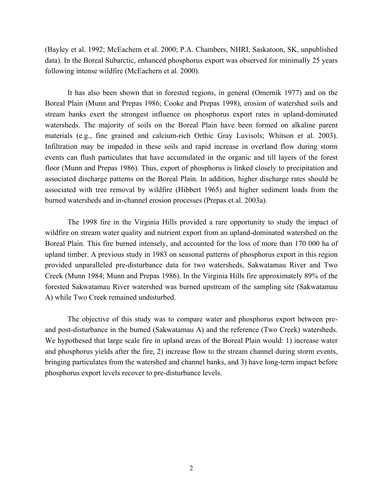(Bayley et al. 1992; McEachern et al. 2000; P.A. Chambers, NHRI, Saskatoon, SK, unpublished data). In the Boreal Subarctic, enhanced phosphorus export was observed for minimally 25 years following intense wildfire (McEachern et al. 2000).

It has also been shown that in forested regions, in general (Omernik 1977) and on the Boreal Plain (Munn and Prepas 1986; Cooke and Prepas 1998), erosion of watershed soils and stream banks exert the strongest influence on phosphorus export rates in upland-dominated watersheds. The majority of soils on the Boreal Plain have been formed on alkaline parent materials (e.g., fine grained and calcium-rich Orthic Gray Luvisols; Whitson et al. 2003). Infiltration may be impeded in these soils and rapid increase in overland flow during storm events can flush particulates that have accumulated in the organic and till layers of the forest floor (Munn and Prepas 1986). Thus, export of phosphorus is linked closely to precipitation and associated discharge patterns on the Boreal Plain. In addition, higher discharge rates should be associated with tree removal by wildfire (Hibbert 1965) and higher sediment loads from the burned watersheds and in-channel erosion processes (Prepas et al. 2003a).

The 1998 fire in the Virginia Hills provided a rare opportunity to study the impact of wildfire on stream water quality and nutrient export from an upland-dominated watershed on the Boreal Plain. This fire burned intensely, and accounted for the loss of more than 170 000 ha of upland timber. A previous study in 1983 on seasonal patterns of phosphorus export in this region provided unparalleled pre-disturbance data for two watersheds, Sakwatamau River and Two Creek (Munn 1984; Munn and Prepas 1986). In the Virginia Hills fire approximately 89% of the forested Sakwatamau River watershed was burned upstream of the sampling site (Sakwatamau A) while Two Creek remained undisturbed.

The objective of this study was to compare water and phosphorus export between preand post-disturbance in the burned (Sakwatamau A) and the reference (Two Creek) watersheds. We hypothesed that large scale fire in upland areas of the Boreal Plain would: 1) increase water and phosphorus yields after the fire, 2) increase flow to the stream channel during storm events, bringing particulates from the watershed and channel banks, and 3) have long-term impact before phosphorus export levels recover to pre-disturbance levels.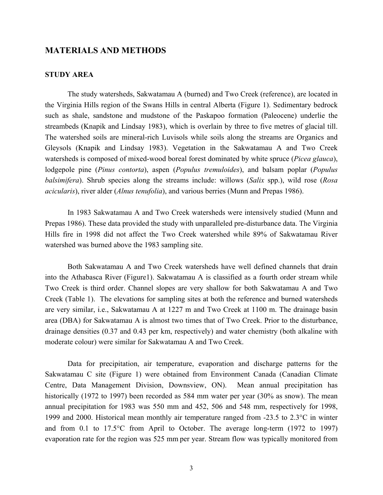#### **MATERIALS AND METHODS**

#### **STUDY AREA**

The study watersheds, Sakwatamau A (burned) and Two Creek (reference), are located in the Virginia Hills region of the Swans Hills in central Alberta (Figure 1). Sedimentary bedrock such as shale, sandstone and mudstone of the Paskapoo formation (Paleocene) underlie the streambeds (Knapik and Lindsay 1983), which is overlain by three to five metres of glacial till. The watershed soils are mineral-rich Luvisols while soils along the streams are Organics and Gleysols (Knapik and Lindsay 1983). Vegetation in the Sakwatamau A and Two Creek watersheds is composed of mixed-wood boreal forest dominated by white spruce (*Picea glauca*), lodgepole pine (*Pinus contorta*), aspen (*Populus tremuloides*), and balsam poplar (*Populus balsimifera*). Shrub species along the streams include: willows (*Salix* spp.), wild rose (*Rosa acicularis*), river alder (*Alnus tenufolia*), and various berries (Munn and Prepas 1986).

In 1983 Sakwatamau A and Two Creek watersheds were intensively studied (Munn and Prepas 1986). These data provided the study with unparalleled pre-disturbance data. The Virginia Hills fire in 1998 did not affect the Two Creek watershed while 89% of Sakwatamau River watershed was burned above the 1983 sampling site.

Both Sakwatamau A and Two Creek watersheds have well defined channels that drain into the Athabasca River (Figure1). Sakwatamau A is classified as a fourth order stream while Two Creek is third order. Channel slopes are very shallow for both Sakwatamau A and Two Creek (Table 1). The elevations for sampling sites at both the reference and burned watersheds are very similar, i.e., Sakwatamau A at 1227 m and Two Creek at 1100 m. The drainage basin area (DBA) for Sakwatamau A is almost two times that of Two Creek. Prior to the disturbance, drainage densities (0.37 and 0.43 per km, respectively) and water chemistry (both alkaline with moderate colour) were similar for Sakwatamau A and Two Creek.

Data for precipitation, air temperature, evaporation and discharge patterns for the Sakwatamau C site (Figure 1) were obtained from Environment Canada (Canadian Climate Centre, Data Management Division, Downsview, ON). Mean annual precipitation has historically (1972 to 1997) been recorded as 584 mm water per year (30% as snow). The mean annual precipitation for 1983 was 550 mm and 452, 506 and 548 mm, respectively for 1998, 1999 and 2000. Historical mean monthly air temperature ranged from -23.5 to 2.3°C in winter and from 0.1 to 17.5°C from April to October. The average long-term (1972 to 1997) evaporation rate for the region was 525 mm per year. Stream flow was typically monitored from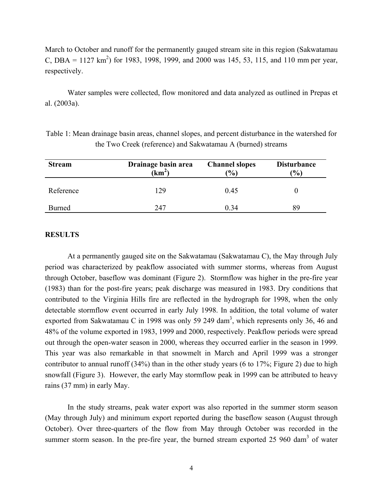March to October and runoff for the permanently gauged stream site in this region (Sakwatamau C, DBA =  $1127 \text{ km}^2$ ) for 1983, 1998, 1999, and 2000 was 145, 53, 115, and 110 mm per year, respectively.

Water samples were collected, flow monitored and data analyzed as outlined in Prepas et al. (2003a).

| <b>Stream</b> | Drainage basin area<br>$(km^2)$ | <b>Channel slopes</b><br>$\frac{9}{0}$ | <b>Disturbance</b><br>(%) |
|---------------|---------------------------------|----------------------------------------|---------------------------|
| Reference     | 129                             | 0.45                                   |                           |
| Burned        | 247                             | 0.34                                   | 89                        |

| Table 1: Mean drainage basin areas, channel slopes, and percent disturbance in the watershed for |  |  |
|--------------------------------------------------------------------------------------------------|--|--|
| the Two Creek (reference) and Sakwatamau A (burned) streams                                      |  |  |

#### **RESULTS**

At a permanently gauged site on the Sakwatamau (Sakwatamau C), the May through July period was characterized by peakflow associated with summer storms, whereas from August through October, baseflow was dominant (Figure 2). Stormflow was higher in the pre-fire year (1983) than for the post-fire years; peak discharge was measured in 1983. Dry conditions that contributed to the Virginia Hills fire are reflected in the hydrograph for 1998, when the only detectable stormflow event occurred in early July 1998. In addition, the total volume of water exported from Sakwatamau C in 1998 was only 59 249 dam<sup>3</sup>, which represents only 36, 46 and 48% of the volume exported in 1983, 1999 and 2000, respectively. Peakflow periods were spread out through the open-water season in 2000, whereas they occurred earlier in the season in 1999. This year was also remarkable in that snowmelt in March and April 1999 was a stronger contributor to annual runoff (34%) than in the other study years (6 to 17%; Figure 2) due to high snowfall (Figure 3). However, the early May stormflow peak in 1999 can be attributed to heavy rains (37 mm) in early May.

In the study streams, peak water export was also reported in the summer storm season (May through July) and minimum export reported during the baseflow season (August through October). Over three-quarters of the flow from May through October was recorded in the summer storm season. In the pre-fire year, the burned stream exported  $25\,960\,$  dam<sup>3</sup> of water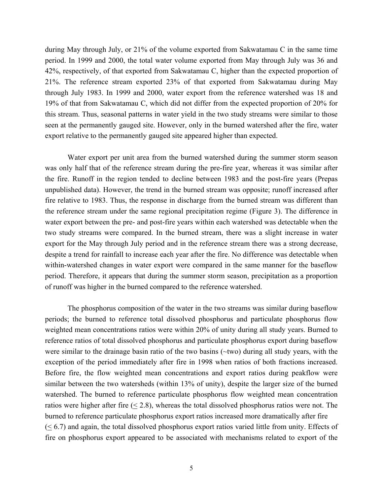during May through July, or 21% of the volume exported from Sakwatamau C in the same time period. In 1999 and 2000, the total water volume exported from May through July was 36 and 42%, respectively, of that exported from Sakwatamau C, higher than the expected proportion of 21%. The reference stream exported 23% of that exported from Sakwatamau during May through July 1983. In 1999 and 2000, water export from the reference watershed was 18 and 19% of that from Sakwatamau C, which did not differ from the expected proportion of 20% for this stream. Thus, seasonal patterns in water yield in the two study streams were similar to those seen at the permanently gauged site. However, only in the burned watershed after the fire, water export relative to the permanently gauged site appeared higher than expected.

Water export per unit area from the burned watershed during the summer storm season was only half that of the reference stream during the pre-fire year, whereas it was similar after the fire. Runoff in the region tended to decline between 1983 and the post-fire years (Prepas unpublished data). However, the trend in the burned stream was opposite; runoff increased after fire relative to 1983. Thus, the response in discharge from the burned stream was different than the reference stream under the same regional precipitation regime (Figure 3). The difference in water export between the pre- and post-fire years within each watershed was detectable when the two study streams were compared. In the burned stream, there was a slight increase in water export for the May through July period and in the reference stream there was a strong decrease, despite a trend for rainfall to increase each year after the fire. No difference was detectable when within-watershed changes in water export were compared in the same manner for the baseflow period. Therefore, it appears that during the summer storm season, precipitation as a proportion of runoff was higher in the burned compared to the reference watershed.

The phosphorus composition of the water in the two streams was similar during baseflow periods; the burned to reference total dissolved phosphorus and particulate phosphorus flow weighted mean concentrations ratios were within 20% of unity during all study years. Burned to reference ratios of total dissolved phosphorus and particulate phosphorus export during baseflow were similar to the drainage basin ratio of the two basins (~two) during all study years, with the exception of the period immediately after fire in 1998 when ratios of both fractions increased. Before fire, the flow weighted mean concentrations and export ratios during peakflow were similar between the two watersheds (within 13% of unity), despite the larger size of the burned watershed. The burned to reference particulate phosphorus flow weighted mean concentration ratios were higher after fire  $(\leq 2.8)$ , whereas the total dissolved phosphorus ratios were not. The burned to reference particulate phosphorus export ratios increased more dramatically after fire  $( $6.7$ )$  and again, the total dissolved phosphorus export ratios varied little from unity. Effects of fire on phosphorus export appeared to be associated with mechanisms related to export of the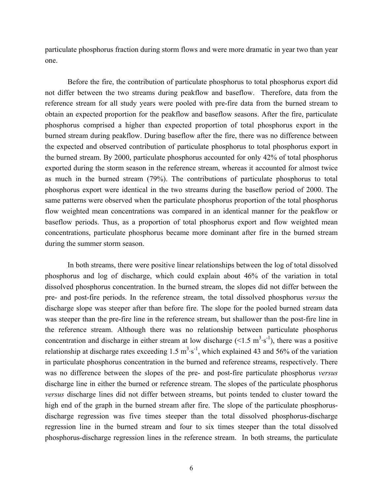particulate phosphorus fraction during storm flows and were more dramatic in year two than year one.

 Before the fire, the contribution of particulate phosphorus to total phosphorus export did not differ between the two streams during peakflow and baseflow. Therefore, data from the reference stream for all study years were pooled with pre-fire data from the burned stream to obtain an expected proportion for the peakflow and baseflow seasons. After the fire, particulate phosphorus comprised a higher than expected proportion of total phosphorus export in the burned stream during peakflow. During baseflow after the fire, there was no difference between the expected and observed contribution of particulate phosphorus to total phosphorus export in the burned stream. By 2000, particulate phosphorus accounted for only 42% of total phosphorus exported during the storm season in the reference stream, whereas it accounted for almost twice as much in the burned stream (79%). The contributions of particulate phosphorus to total phosphorus export were identical in the two streams during the baseflow period of 2000. The same patterns were observed when the particulate phosphorus proportion of the total phosphorus flow weighted mean concentrations was compared in an identical manner for the peakflow or baseflow periods. Thus, as a proportion of total phosphorus export and flow weighted mean concentrations, particulate phosphorus became more dominant after fire in the burned stream during the summer storm season.

In both streams, there were positive linear relationships between the log of total dissolved phosphorus and log of discharge, which could explain about 46% of the variation in total dissolved phosphorus concentration. In the burned stream, the slopes did not differ between the pre- and post-fire periods. In the reference stream, the total dissolved phosphorus *versus* the discharge slope was steeper after than before fire. The slope for the pooled burned stream data was steeper than the pre-fire line in the reference stream, but shallower than the post-fire line in the reference stream. Although there was no relationship between particulate phosphorus concentration and discharge in either stream at low discharge  $(<1.5 \text{ m}^3 \cdot \text{s}^{-1})$ , there was a positive relationship at discharge rates exceeding  $1.5 \text{ m}^3 \cdot \text{s}^{-1}$ , which explained 43 and 56% of the variation in particulate phosphorus concentration in the burned and reference streams, respectively. There was no difference between the slopes of the pre- and post-fire particulate phosphorus *versus* discharge line in either the burned or reference stream. The slopes of the particulate phosphorus *versus* discharge lines did not differ between streams, but points tended to cluster toward the high end of the graph in the burned stream after fire. The slope of the particulate phosphorusdischarge regression was five times steeper than the total dissolved phosphorus-discharge regression line in the burned stream and four to six times steeper than the total dissolved phosphorus-discharge regression lines in the reference stream. In both streams, the particulate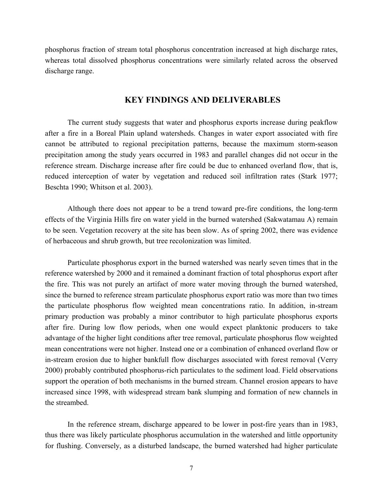phosphorus fraction of stream total phosphorus concentration increased at high discharge rates, whereas total dissolved phosphorus concentrations were similarly related across the observed discharge range.

#### **KEY FINDINGS AND DELIVERABLES**

The current study suggests that water and phosphorus exports increase during peakflow after a fire in a Boreal Plain upland watersheds. Changes in water export associated with fire cannot be attributed to regional precipitation patterns, because the maximum storm-season precipitation among the study years occurred in 1983 and parallel changes did not occur in the reference stream. Discharge increase after fire could be due to enhanced overland flow, that is, reduced interception of water by vegetation and reduced soil infiltration rates (Stark 1977; Beschta 1990; Whitson et al. 2003).

Although there does not appear to be a trend toward pre-fire conditions, the long-term effects of the Virginia Hills fire on water yield in the burned watershed (Sakwatamau A) remain to be seen. Vegetation recovery at the site has been slow. As of spring 2002, there was evidence of herbaceous and shrub growth, but tree recolonization was limited.

Particulate phosphorus export in the burned watershed was nearly seven times that in the reference watershed by 2000 and it remained a dominant fraction of total phosphorus export after the fire. This was not purely an artifact of more water moving through the burned watershed, since the burned to reference stream particulate phosphorus export ratio was more than two times the particulate phosphorus flow weighted mean concentrations ratio. In addition, in-stream primary production was probably a minor contributor to high particulate phosphorus exports after fire. During low flow periods, when one would expect planktonic producers to take advantage of the higher light conditions after tree removal, particulate phosphorus flow weighted mean concentrations were not higher. Instead one or a combination of enhanced overland flow or in-stream erosion due to higher bankfull flow discharges associated with forest removal (Verry 2000) probably contributed phosphorus-rich particulates to the sediment load. Field observations support the operation of both mechanisms in the burned stream. Channel erosion appears to have increased since 1998, with widespread stream bank slumping and formation of new channels in the streambed.

In the reference stream, discharge appeared to be lower in post-fire years than in 1983, thus there was likely particulate phosphorus accumulation in the watershed and little opportunity for flushing. Conversely, as a disturbed landscape, the burned watershed had higher particulate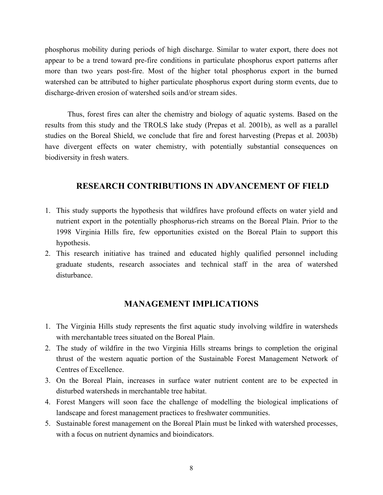phosphorus mobility during periods of high discharge. Similar to water export, there does not appear to be a trend toward pre-fire conditions in particulate phosphorus export patterns after more than two years post-fire. Most of the higher total phosphorus export in the burned watershed can be attributed to higher particulate phosphorus export during storm events, due to discharge-driven erosion of watershed soils and/or stream sides.

Thus, forest fires can alter the chemistry and biology of aquatic systems. Based on the results from this study and the TROLS lake study (Prepas et al. 2001b), as well as a parallel studies on the Boreal Shield, we conclude that fire and forest harvesting (Prepas et al. 2003b) have divergent effects on water chemistry, with potentially substantial consequences on biodiversity in fresh waters.

#### **RESEARCH CONTRIBUTIONS IN ADVANCEMENT OF FIELD**

- 1. This study supports the hypothesis that wildfires have profound effects on water yield and nutrient export in the potentially phosphorus-rich streams on the Boreal Plain. Prior to the 1998 Virginia Hills fire, few opportunities existed on the Boreal Plain to support this hypothesis.
- 2. This research initiative has trained and educated highly qualified personnel including graduate students, research associates and technical staff in the area of watershed disturbance.

#### **MANAGEMENT IMPLICATIONS**

- 1. The Virginia Hills study represents the first aquatic study involving wildfire in watersheds with merchantable trees situated on the Boreal Plain.
- 2. The study of wildfire in the two Virginia Hills streams brings to completion the original thrust of the western aquatic portion of the Sustainable Forest Management Network of Centres of Excellence.
- 3. On the Boreal Plain, increases in surface water nutrient content are to be expected in disturbed watersheds in merchantable tree habitat.
- 4. Forest Mangers will soon face the challenge of modelling the biological implications of landscape and forest management practices to freshwater communities.
- 5. Sustainable forest management on the Boreal Plain must be linked with watershed processes, with a focus on nutrient dynamics and bioindicators.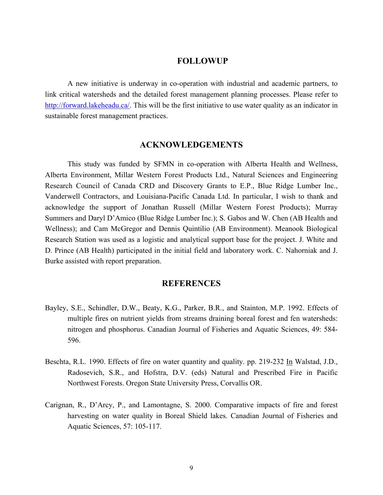#### **FOLLOWUP**

A new initiative is underway in co-operation with industrial and academic partners, to link critical watersheds and the detailed forest management planning processes. Please refer to http://forward.lakeheadu.ca/. This will be the first initiative to use water quality as an indicator in sustainable forest management practices.

#### **ACKNOWLEDGEMENTS**

This study was funded by SFMN in co-operation with Alberta Health and Wellness, Alberta Environment, Millar Western Forest Products Ltd., Natural Sciences and Engineering Research Council of Canada CRD and Discovery Grants to E.P., Blue Ridge Lumber Inc., Vanderwell Contractors, and Louisiana-Pacific Canada Ltd. In particular, I wish to thank and acknowledge the support of Jonathan Russell (Millar Western Forest Products); Murray Summers and Daryl D'Amico (Blue Ridge Lumber Inc.); S. Gabos and W. Chen (AB Health and Wellness); and Cam McGregor and Dennis Quintilio (AB Environment). Meanook Biological Research Station was used as a logistic and analytical support base for the project. J. White and D. Prince (AB Health) participated in the initial field and laboratory work. C. Nahorniak and J. Burke assisted with report preparation.

#### **REFERENCES**

- Bayley, S.E., Schindler, D.W., Beaty, K.G., Parker, B.R., and Stainton, M.P. 1992. Effects of multiple fires on nutrient yields from streams draining boreal forest and fen watersheds: nitrogen and phosphorus. Canadian Journal of Fisheries and Aquatic Sciences, 49: 584- 596.
- Beschta, R.L. 1990. Effects of fire on water quantity and quality. pp. 219-232 In Walstad, J.D., Radosevich, S.R., and Hofstra, D.V. (eds) Natural and Prescribed Fire in Pacific Northwest Forests. Oregon State University Press, Corvallis OR.
- Carignan, R., D'Arcy, P., and Lamontagne, S. 2000. Comparative impacts of fire and forest harvesting on water quality in Boreal Shield lakes. Canadian Journal of Fisheries and Aquatic Sciences, 57: 105-117.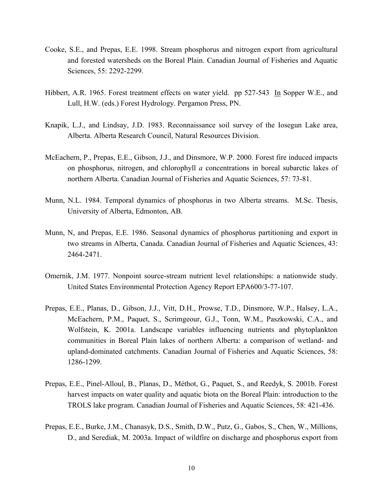- Cooke, S.E., and Prepas, E.E. 1998. Stream phosphorus and nitrogen export from agricultural and forested watersheds on the Boreal Plain. Canadian Journal of Fisheries and Aquatic Sciences, 55: 2292-2299.
- Hibbert, A.R. 1965. Forest treatment effects on water yield. pp 527-543 In Sopper W.E., and Lull, H.W. (eds.) Forest Hydrology. Pergamon Press, PN.
- Knapik, L.J., and Lindsay, J.D. 1983. Reconnaissance soil survey of the Iosegun Lake area, Alberta. Alberta Research Council, Natural Resources Division.
- McEachern, P., Prepas, E.E., Gibson, J.J., and Dinsmore, W.P. 2000. Forest fire induced impacts on phosphorus, nitrogen, and chlorophyll *a* concentrations in boreal subarctic lakes of northern Alberta. Canadian Journal of Fisheries and Aquatic Sciences, 57: 73-81.
- Munn, N.L. 1984. Temporal dynamics of phosphorus in two Alberta streams. M.Sc. Thesis, University of Alberta, Edmonton, AB.
- Munn, N, and Prepas, E.E. 1986. Seasonal dynamics of phosphorus partitioning and export in two streams in Alberta, Canada. Canadian Journal of Fisheries and Aquatic Sciences, 43: 2464-2471.
- Omernik, J.M. 1977. Nonpoint source-stream nutrient level relationships: a nationwide study. United States Environmental Protection Agency Report EPA600/3-77-107.
- Prepas, E.E., Planas, D., Gibson, J.J., Vitt, D.H., Prowse, T.D., Dinsmore, W.P., Halsey, L.A., McEachern, P.M., Paquet, S., Scrimgeour, G.J., Tonn, W.M., Paszkowski, C.A., and Wolfstein, K. 2001a. Landscape variables influencing nutrients and phytoplankton communities in Boreal Plain lakes of northern Alberta: a comparison of wetland- and upland-dominated catchments. Canadian Journal of Fisheries and Aquatic Sciences, 58: 1286-1299.
- Prepas, E.E., Pinel-Alloul, B., Planas, D., Méthot, G., Paquet, S., and Reedyk, S. 2001b. Forest harvest impacts on water quality and aquatic biota on the Boreal Plain: introduction to the TROLS lake program. Canadian Journal of Fisheries and Aquatic Sciences, 58: 421-436.
- Prepas, E.E., Burke, J.M., Chanasyk, D.S., Smith, D.W., Putz, G., Gabos, S., Chen, W., Millions, D., and Serediak, M. 2003a. Impact of wildfire on discharge and phosphorus export from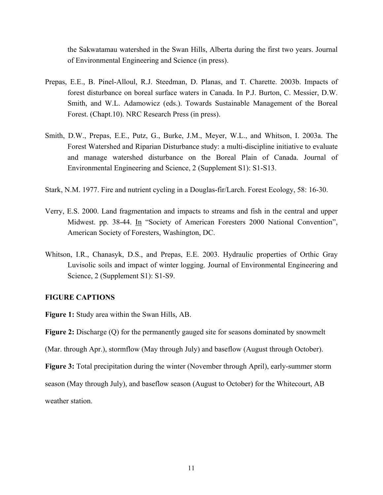the Sakwatamau watershed in the Swan Hills, Alberta during the first two years. Journal of Environmental Engineering and Science (in press).

- Prepas, E.E., B. Pinel-Alloul, R.J. Steedman, D. Planas, and T. Charette. 2003b. Impacts of forest disturbance on boreal surface waters in Canada. In P.J. Burton, C. Messier, D.W. Smith, and W.L. Adamowicz (eds.). Towards Sustainable Management of the Boreal Forest. (Chapt.10). NRC Research Press (in press).
- Smith, D.W., Prepas, E.E., Putz, G., Burke, J.M., Meyer, W.L., and Whitson, I. 2003a. The Forest Watershed and Riparian Disturbance study: a multi-discipline initiative to evaluate and manage watershed disturbance on the Boreal Plain of Canada. Journal of Environmental Engineering and Science, 2 (Supplement S1): S1-S13.
- Stark, N.M. 1977. Fire and nutrient cycling in a Douglas-fir/Larch. Forest Ecology, 58: 16-30.
- Verry, E.S. 2000. Land fragmentation and impacts to streams and fish in the central and upper Midwest. pp. 38-44. In "Society of American Foresters 2000 National Convention", American Society of Foresters, Washington, DC.
- Whitson, I.R., Chanasyk, D.S., and Prepas, E.E. 2003. Hydraulic properties of Orthic Gray Luvisolic soils and impact of winter logging. Journal of Environmental Engineering and Science, 2 (Supplement S1): S1-S9.

#### **FIGURE CAPTIONS**

**Figure 1:** Study area within the Swan Hills, AB.

**Figure 2:** Discharge (Q) for the permanently gauged site for seasons dominated by snowmelt

(Mar. through Apr.), stormflow (May through July) and baseflow (August through October).

**Figure 3:** Total precipitation during the winter (November through April), early-summer storm

season (May through July), and baseflow season (August to October) for the Whitecourt, AB weather station.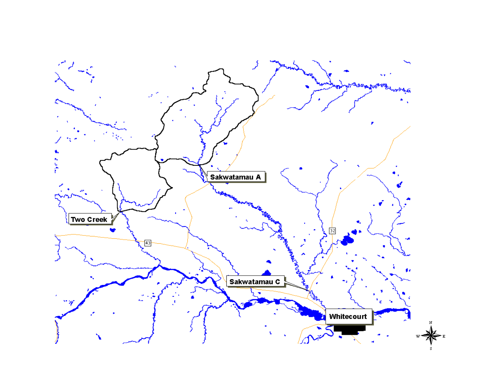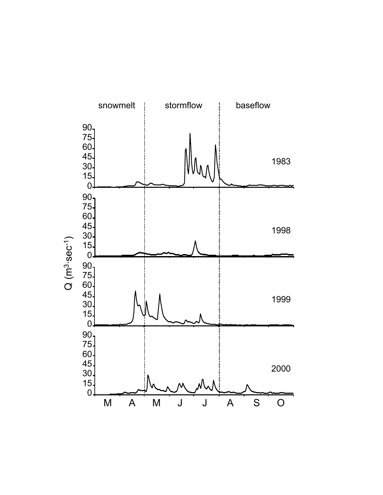